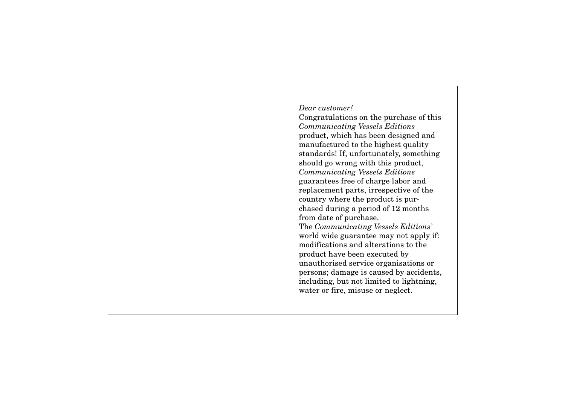#### *Dear customer!*

Congratulations on the purchase of this *Communicating Vessels Editions* product, which has been designed and manufactured to the highest quality standards! If, unfortunately, something should go wrong with this product, *Communicating Vessels Editions* guarantees free of charge labor and replacement parts, irrespective of the country where the product is purchased during a period of 12 months from date of purchase. The *Communicating Vessels Editions'* world wide guarantee may not apply if: modifications and alterations to the product have been executed by unauthorised service organisations or persons; damage is caused by accidents, including, but not limited to lightning, water or fire, misuse or neglect.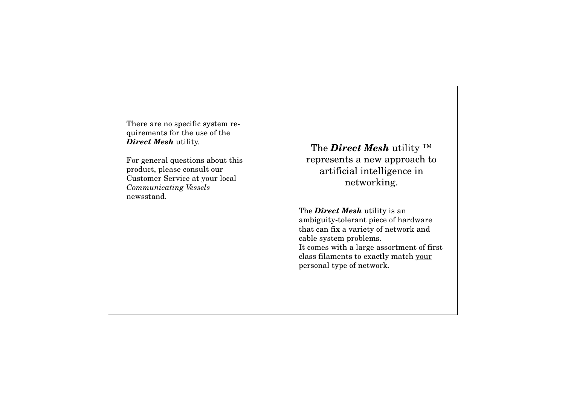There are no specific system requirements for the use of the *Direct Mesh* utility.

For general questions about this product, please consult our Customer Service at your local *Communicating Vessels* newsstand.

The *Direct Mesh* utility ™ represents a new approach to artificial intelligence in networking.

The *Direct Mesh* utility is an ambiguity-tolerant piece of hardware that can fix a variety of network and cable system problems. It comes with a large assortment of first class filaments to exactly match your personal type of network.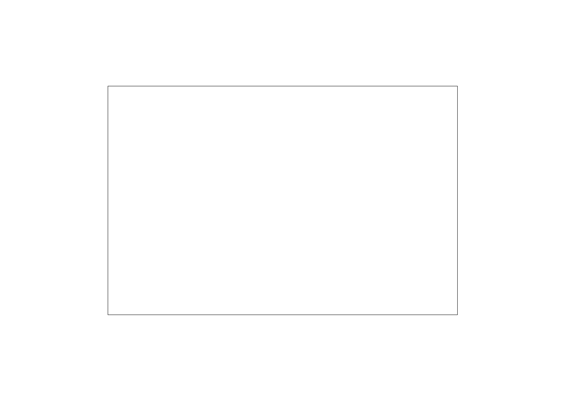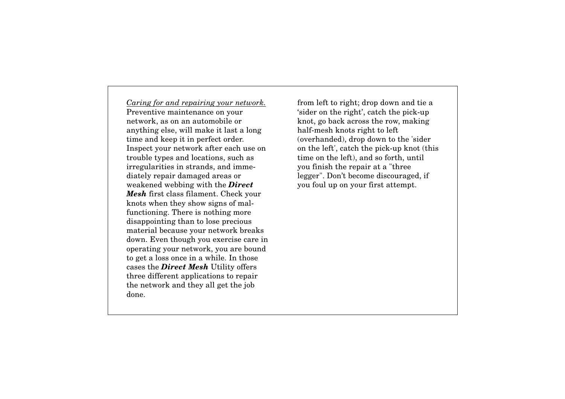*Caring for and repairing your network.* Preventive maintenance on your network, as on an automobile or anything else, will make it last a long time and keep it in perfect order. Inspect your network after each use on trouble types and locations, such as irregularities in strands, and immediately repair damaged areas or weakened webbing with the *Direct Mesh* first class filament. Check your knots when they show signs of malfunctioning. There is nothing more disappointing than to lose precious material because your network breaks down. Even though you exercise care in operating your network, you are bound to get a loss once in a while. In those cases the *Direct Mesh* Utility offers three different applications to repair the network and they all get the job done.

from left to right; drop down and tie a 'sider on the right', catch the pick-up knot, go back across the row, making half-mesh knots right to left (overhanded), drop down to the 'sider on the left', catch the pick-up knot (this time on the left), and so forth, until you finish the repair at a "three legger". Don't become discouraged, if you foul up on your first attempt.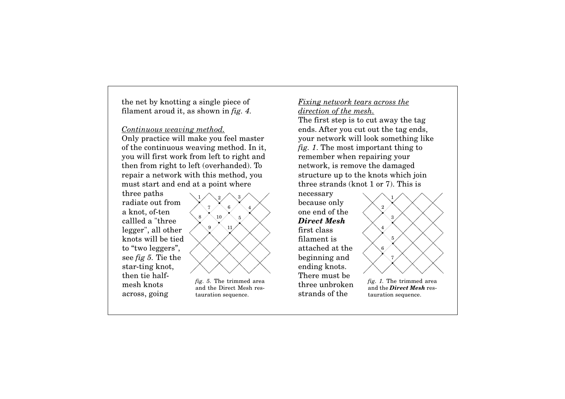the net by knotting a single piece of filament aroud it, as shown in *fig. 4.*

## *Continuous weaving method.*

Only practice will make you feel master of the continuous weaving method. In it, you will first work from left to right and then from right to left (overhanded). To repair a network with this method, you must start and end at a point where

three paths radiate out from a knot, of-ten callled a "three legger", all other knots will be tied to "two leggers", see *fig 5.* Tie the star-ting knot, then tie halfmesh knots across, going



*fig. 5.* The trimmed area and the Direct Mesh restauration sequence.

### *Fixing network tears across the direction of the mesh.*

The first step is to cut away the tag ends. After you cut out the tag ends, your network will look something like *fig. 1*. The most important thing to remember when repairing your network, is remove the damaged structure up to the knots which join three strands (knot 1 or 7). This is

necessary because only one end of the *Direct Mesh* first class filament is attached at the beginning and ending knots. There must be three unbroken strands of the



*fig. 1.* The trimmed area and the *Direct Mesh* restauration sequence.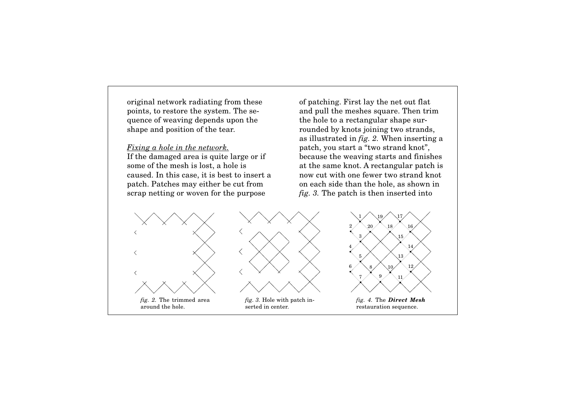original network radiating from these points, to restore the system. The sequence of weaving depends upon the shape and position of the tear.

#### *Fixing a hole in the network.*

If the damaged area is quite large or if some of the mesh is lost, a hole is caused. In this case, it is best to insert a patch. Patches may either be cut from scrap netting or woven for the purpose

of patching. First lay the net out flat and pull the meshes square. Then trim the hole to a rectangular shape surrounded by knots joining two strands, as illustrated in *fig. 2.* When inserting a patch, you start a "two strand knot", because the weaving starts and finishes at the same knot. A rectangular patch is now cut with one fewer two strand knot on each side than the hole, as shown in *fig. 3.* The patch is then inserted into